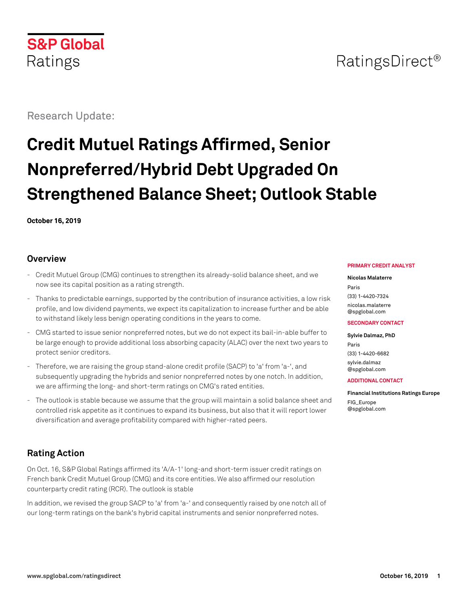# RatingsDirect<sup>®</sup>

Research Update:

# **Credit Mutuel Ratings Affirmed, Senior Nonpreferred/Hybrid Debt Upgraded On Strengthened Balance Sheet; Outlook Stable**

**October 16, 2019**

## **Overview**

- Credit Mutuel Group (CMG) continues to strengthen its already-solid balance sheet, and we now see its capital position as a rating strength.
- Thanks to predictable earnings, supported by the contribution of insurance activities, a low risk profile, and low dividend payments, we expect its capitalization to increase further and be able to withstand likely less benign operating conditions in the years to come.
- CMG started to issue senior nonpreferred notes, but we do not expect its bail-in-able buffer to be large enough to provide additional loss absorbing capacity (ALAC) over the next two years to protect senior creditors.
- Therefore, we are raising the group stand-alone credit profile (SACP) to 'a' from 'a-', and subsequently upgrading the hybrids and senior nonpreferred notes by one notch. In addition, we are affirming the long- and short-term ratings on CMG's rated entities.
- The outlook is stable because we assume that the group will maintain a solid balance sheet and controlled risk appetite as it continues to expand its business, but also that it will report lower diversification and average profitability compared with higher-rated peers.

## **Rating Action**

On Oct. 16, S&P Global Ratings affirmed its 'A/A-1' long-and short-term issuer credit ratings on French bank Credit Mutuel Group (CMG) and its core entities. We also affirmed our resolution counterparty credit rating (RCR). The outlook is stable

In addition, we revised the group SACP to 'a' from 'a-' and consequently raised by one notch all of our long-term ratings on the bank's hybrid capital instruments and senior nonpreferred notes.

#### **PRIMARY CREDIT ANALYST**

**Nicolas Malaterre** Paris (33) 1-4420-7324 [nicolas.malaterre](mailto:nicolas.malaterre@spglobal.com) [@spglobal.com](mailto:nicolas.malaterre@spglobal.com)

#### **SECONDARY CONTACT**

**Sylvie Dalmaz, PhD** Paris (33) 1-4420-6682 [sylvie.dalmaz](mailto:sylvie.dalmaz@spglobal.com) [@spglobal.com](mailto:sylvie.dalmaz@spglobal.com)

#### **ADDITIONAL CONTACT**

**Financial Institutions Ratings Europe** [FIG\\_Europe](mailto:FIG_Europe@spglobal.com) [@spglobal.com](mailto:FIG_Europe@spglobal.com)

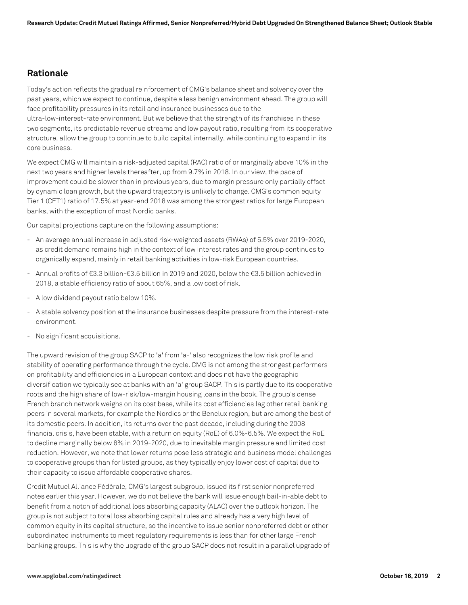## **Rationale**

core business.

Today's action reflects the gradual reinforcement of CMG's balance sheet and solvency over the past years, which we expect to continue, despite a less benign environment ahead. The group will face profitability pressures in its retail and insurance businesses due to the ultra-low-interest-rate environment. But we believe that the strength of its franchises in these two segments, its predictable revenue streams and low payout ratio, resulting from its cooperative structure, allow the group to continue to build capital internally, while continuing to expand in its

We expect CMG will maintain a risk-adjusted capital (RAC) ratio of or marginally above 10% in the next two years and higher levels thereafter, up from 9.7% in 2018. In our view, the pace of improvement could be slower than in previous years, due to margin pressure only partially offset by dynamic loan growth, but the upward trajectory is unlikely to change. CMG's common equity Tier 1 (CET1) ratio of 17.5% at year-end 2018 was among the strongest ratios for large European banks, with the exception of most Nordic banks.

Our capital projections capture on the following assumptions:

- An average annual increase in adjusted risk-weighted assets (RWAs) of 5.5% over 2019-2020, as credit demand remains high in the context of low interest rates and the group continues to organically expand, mainly in retail banking activities in low-risk European countries.
- Annual profits of €3.3 billion-€3.5 billion in 2019 and 2020, below the €3.5 billion achieved in 2018, a stable efficiency ratio of about 65%, and a low cost of risk.
- A low dividend payout ratio below 10%.
- A stable solvency position at the insurance businesses despite pressure from the interest-rate environment.
- No significant acquisitions.

The upward revision of the group SACP to 'a' from 'a-' also recognizes the low risk profile and stability of operating performance through the cycle. CMG is not among the strongest performers on profitability and efficiencies in a European context and does not have the geographic diversification we typically see at banks with an 'a' group SACP. This is partly due to its cooperative roots and the high share of low-risk/low-margin housing loans in the book. The group's dense French branch network weighs on its cost base, while its cost efficiencies lag other retail banking peers in several markets, for example the Nordics or the Benelux region, but are among the best of its domestic peers. In addition, its returns over the past decade, including during the 2008 financial crisis, have been stable, with a return on equity (RoE) of 6.0%-6.5%. We expect the RoE to decline marginally below 6% in 2019-2020, due to inevitable margin pressure and limited cost reduction. However, we note that lower returns pose less strategic and business model challenges to cooperative groups than for listed groups, as they typically enjoy lower cost of capital due to their capacity to issue affordable cooperative shares.

Credit Mutuel Alliance Fédérale, CMG's largest subgroup, issued its first senior nonpreferred notes earlier this year. However, we do not believe the bank will issue enough bail-in-able debt to benefit from a notch of additional loss absorbing capacity (ALAC) over the outlook horizon. The group is not subject to total loss absorbing capital rules and already has a very high level of common equity in its capital structure, so the incentive to issue senior nonpreferred debt or other subordinated instruments to meet regulatory requirements is less than for other large French banking groups. This is why the upgrade of the group SACP does not result in a parallel upgrade of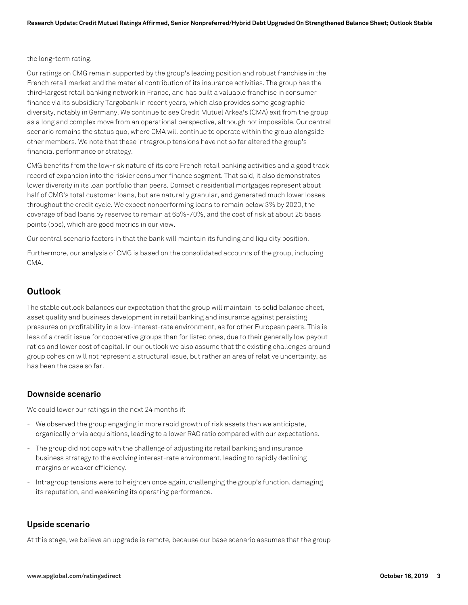#### the long-term rating.

Our ratings on CMG remain supported by the group's leading position and robust franchise in the French retail market and the material contribution of its insurance activities. The group has the third-largest retail banking network in France, and has built a valuable franchise in consumer finance via its subsidiary Targobank in recent years, which also provides some geographic diversity, notably in Germany. We continue to see Credit Mutuel Arkea's (CMA) exit from the group as a long and complex move from an operational perspective, although not impossible. Our central scenario remains the status quo, where CMA will continue to operate within the group alongside other members. We note that these intragroup tensions have not so far altered the group's financial performance or strategy.

CMG benefits from the low-risk nature of its core French retail banking activities and a good track record of expansion into the riskier consumer finance segment. That said, it also demonstrates lower diversity in its loan portfolio than peers. Domestic residential mortgages represent about half of CMG's total customer loans, but are naturally granular, and generated much lower losses throughout the credit cycle. We expect nonperforming loans to remain below 3% by 2020, the coverage of bad loans by reserves to remain at 65%-70%, and the cost of risk at about 25 basis points (bps), which are good metrics in our view.

Our central scenario factors in that the bank will maintain its funding and liquidity position.

Furthermore, our analysis of CMG is based on the consolidated accounts of the group, including CMA.

## **Outlook**

The stable outlook balances our expectation that the group will maintain its solid balance sheet, asset quality and business development in retail banking and insurance against persisting pressures on profitability in a low-interest-rate environment, as for other European peers. This is less of a credit issue for cooperative groups than for listed ones, due to their generally low payout ratios and lower cost of capital. In our outlook we also assume that the existing challenges around group cohesion will not represent a structural issue, but rather an area of relative uncertainty, as has been the case so far.

#### **Downside scenario**

We could lower our ratings in the next 24 months if:

- We observed the group engaging in more rapid growth of risk assets than we anticipate, organically or via acquisitions, leading to a lower RAC ratio compared with our expectations.
- The group did not cope with the challenge of adjusting its retail banking and insurance business strategy to the evolving interest-rate environment, leading to rapidly declining margins or weaker efficiency.
- Intragroup tensions were to heighten once again, challenging the group's function, damaging its reputation, and weakening its operating performance.

### **Upside scenario**

At this stage, we believe an upgrade is remote, because our base scenario assumes that the group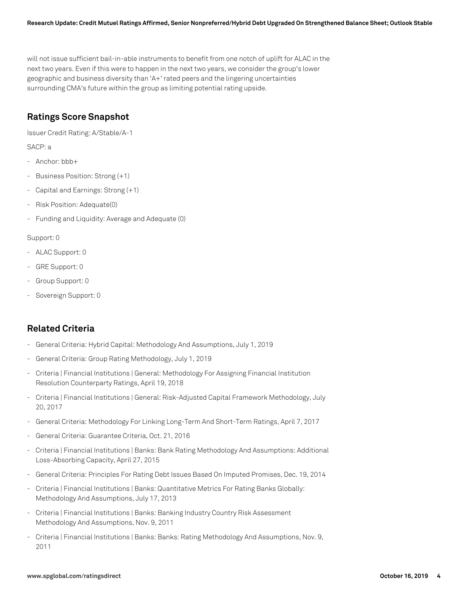will not issue sufficient bail-in-able instruments to benefit from one notch of uplift for ALAC in the next two years. Even if this were to happen in the next two years, we consider the group's lower geographic and business diversity than 'A+' rated peers and the lingering uncertainties surrounding CMA's future within the group as limiting potential rating upside.

## **Ratings Score Snapshot**

Issuer Credit Rating: A/Stable/A-1

SACP: a

- Anchor: bbb+
- Business Position: Strong (+1)
- Capital and Earnings: Strong (+1)
- Risk Position: Adequate(0)
- Funding and Liquidity: Average and Adequate (0)

#### Support: 0

- ALAC Support: 0
- GRE Support: 0
- Group Support: 0
- Sovereign Support: 0

## **Related Criteria**

- General Criteria: Hybrid Capital: Methodology And Assumptions, July 1, 2019
- General Criteria: Group Rating Methodology, July 1, 2019
- Criteria | Financial Institutions | General: Methodology For Assigning Financial Institution Resolution Counterparty Ratings, April 19, 2018
- Criteria | Financial Institutions | General: Risk-Adjusted Capital Framework Methodology, July 20, 2017
- General Criteria: Methodology For Linking Long-Term And Short-Term Ratings, April 7, 2017
- General Criteria: Guarantee Criteria, Oct. 21, 2016
- Criteria | Financial Institutions | Banks: Bank Rating Methodology And Assumptions: Additional Loss-Absorbing Capacity, April 27, 2015
- General Criteria: Principles For Rating Debt Issues Based On Imputed Promises, Dec. 19, 2014
- Criteria | Financial Institutions | Banks: Quantitative Metrics For Rating Banks Globally: Methodology And Assumptions, July 17, 2013
- Criteria | Financial Institutions | Banks: Banking Industry Country Risk Assessment Methodology And Assumptions, Nov. 9, 2011
- Criteria | Financial Institutions | Banks: Banks: Rating Methodology And Assumptions, Nov. 9, 2011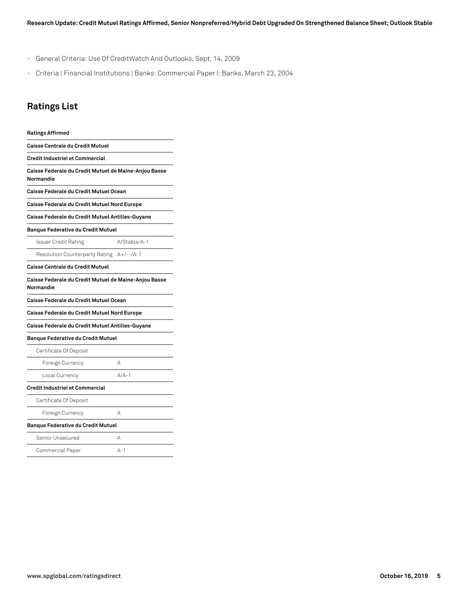- General Criteria: Use Of CreditWatch And Outlooks, Sept. 14, 2009
- Criteria | Financial Institutions | Banks: Commercial Paper I: Banks, March 23, 2004

## **Ratings List**

| <b>Ratings Affirmed</b>                                            |              |
|--------------------------------------------------------------------|--------------|
| Caisse Centrale du Credit Mutuel                                   |              |
| Credit Industriel et Commercial                                    |              |
| Caisse Federale du Credit Mutuel de Maine-Anjou Basse<br>Normandie |              |
| Caisse Federale du Credit Mutuel Ocean                             |              |
| Caisse Federale du Credit Mutuel Nord Europe                       |              |
| Caisse Federale du Credit Mutuel Antilles-Guyane                   |              |
| <b>Banque Federative du Credit Mutuel</b>                          |              |
| Issuer Credit Rating                                               | A/Stable/A-1 |
| Resolution Counterparty Rating A+/--/A-1                           |              |
| Caisse Centrale du Credit Mutuel                                   |              |
| Caisse Federale du Credit Mutuel de Maine-Anjou Basse<br>Normandie |              |
| Caisse Federale du Credit Mutuel Ocean                             |              |
| Caisse Federale du Credit Mutuel Nord Europe                       |              |
| Caisse Federale du Credit Mutuel Antilles-Guyane                   |              |
| <b>Banque Federative du Credit Mutuel</b>                          |              |
| Certificate Of Deposit                                             |              |
| Foreign Currency                                                   | А            |
| Local Currency                                                     | $A/A-1$      |
| Credit Industriel et Commercial                                    |              |
| Certificate Of Deposit                                             |              |
| Foreign Currency                                                   | А            |
| <b>Banque Federative du Credit Mutuel</b>                          |              |
| Senior Unsecured                                                   | A            |
| Commercial Paper                                                   | $A-1$        |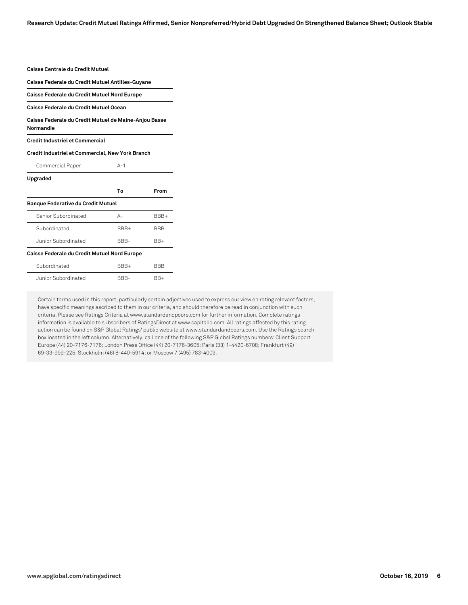**Research Update: Credit Mutuel Ratings Affirmed, Senior Nonpreferred/Hybrid Debt Upgraded On Strengthened Balance Sheet; Outlook Stable**

| Caisse Centrale du Credit Mutuel                                   |         |            |  |
|--------------------------------------------------------------------|---------|------------|--|
| Caisse Federale du Credit Mutuel Antilles-Guyane                   |         |            |  |
| Caisse Federale du Credit Mutuel Nord Europe                       |         |            |  |
| Caisse Federale du Credit Mutuel Ocean                             |         |            |  |
| Caisse Federale du Credit Mutuel de Maine-Anjou Basse<br>Normandie |         |            |  |
| <b>Credit Industriel et Commercial</b>                             |         |            |  |
| Credit Industriel et Commercial, New York Branch                   |         |            |  |
| Commercial Paper                                                   | $A - 1$ |            |  |
| Upgraded                                                           |         |            |  |
|                                                                    | To      | From       |  |
| <b>Banque Federative du Credit Mutuel</b>                          |         |            |  |
| Senior Subordinated                                                | $A -$   | BBB+       |  |
| Subordinated                                                       | RRR+    | <b>BBB</b> |  |
| Junior Subordinated                                                | BBB-    | $BR+$      |  |
| Caisse Federale du Credit Mutuel Nord Europe                       |         |            |  |
| Subordinated                                                       | BBB+    | BBB        |  |
| Junior Subordinated                                                | BBB-    | BB+        |  |

Certain terms used in this report, particularly certain adjectives used to express our view on rating relevant factors, have specific meanings ascribed to them in our criteria, and should therefore be read in conjunction with such criteria. Please see Ratings Criteria at www.standardandpoors.com for further information. Complete ratings information is available to subscribers of RatingsDirect at www.capitaliq.com. All ratings affected by this rating action can be found on S&P Global Ratings' public website at www.standardandpoors.com. Use the Ratings search box located in the left column. Alternatively, call one of the following S&P Global Ratings numbers: Client Support Europe (44) 20-7176-7176; London Press Office (44) 20-7176-3605; Paris (33) 1-4420-6708; Frankfurt (49) 69-33-999-225; Stockholm (46) 8-440-5914; or Moscow 7 (495) 783-4009.